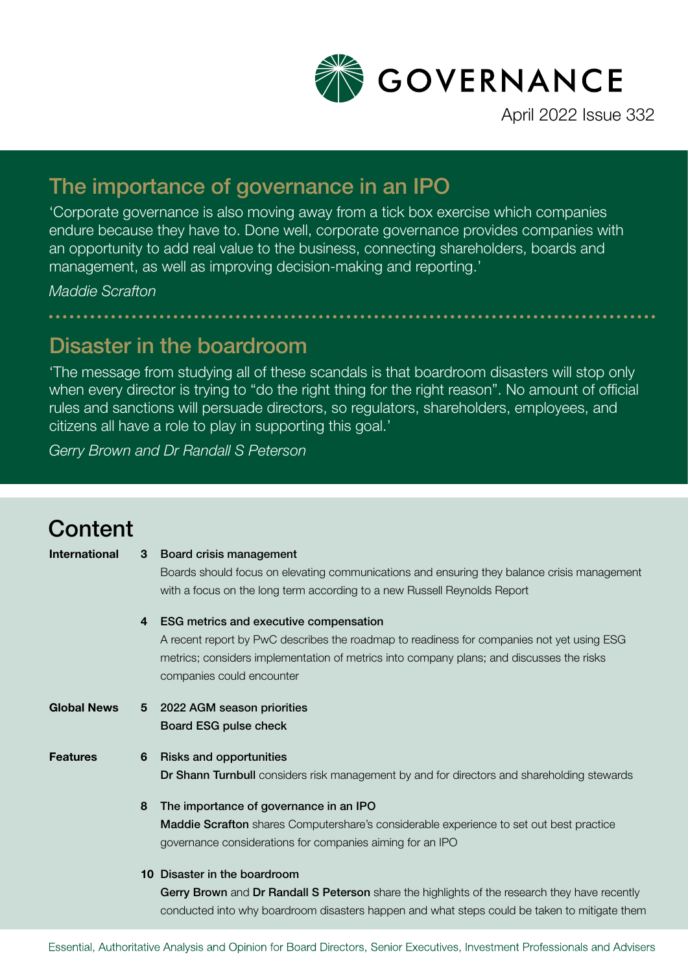

April 2022 Issue 332

### The importance of governance in an IPO

'Corporate governance is also moving away from a tick box exercise which companies endure because they have to. Done well, corporate governance provides companies with an opportunity to add real value to the business, connecting shareholders, boards and management, as well as improving decision-making and reporting.'

*Maddie Scrafton*

### Disaster in the boardroom

'The message from studying all of these scandals is that boardroom disasters will stop only when every director is trying to "do the right thing for the right reason". No amount of official rules and sanctions will persuade directors, so regulators, shareholders, employees, and citizens all have a role to play in supporting this goal.'

*Gerry Brown and Dr Randall S Peterson*

## **Content**

| <b>International</b> | 3 | Board crisis management                                                                        |
|----------------------|---|------------------------------------------------------------------------------------------------|
|                      |   | Boards should focus on elevating communications and ensuring they balance crisis management    |
|                      |   | with a focus on the long term according to a new Russell Reynolds Report                       |
|                      | 4 | <b>ESG metrics and executive compensation</b>                                                  |
|                      |   | A recent report by PwC describes the roadmap to readiness for companies not yet using ESG      |
|                      |   | metrics; considers implementation of metrics into company plans; and discusses the risks       |
|                      |   | companies could encounter                                                                      |
| <b>Global News</b>   | 5 | 2022 AGM season priorities                                                                     |
|                      |   | Board ESG pulse check                                                                          |
| <b>Features</b>      | 6 | <b>Risks and opportunities</b>                                                                 |
|                      |   | Dr Shann Turnbull considers risk management by and for directors and shareholding stewards     |
|                      | 8 | The importance of governance in an IPO                                                         |
|                      |   | <b>Maddie Scrafton</b> shares Computershare's considerable experience to set out best practice |
|                      |   | governance considerations for companies aiming for an IPO                                      |
|                      |   | 10 Disaster in the boardroom                                                                   |
|                      |   | Gerry Brown and Dr Randall S Peterson share the highlights of the research they have recently  |
|                      |   | conducted into why boardroom disasters happen and what steps could be taken to mitigate them   |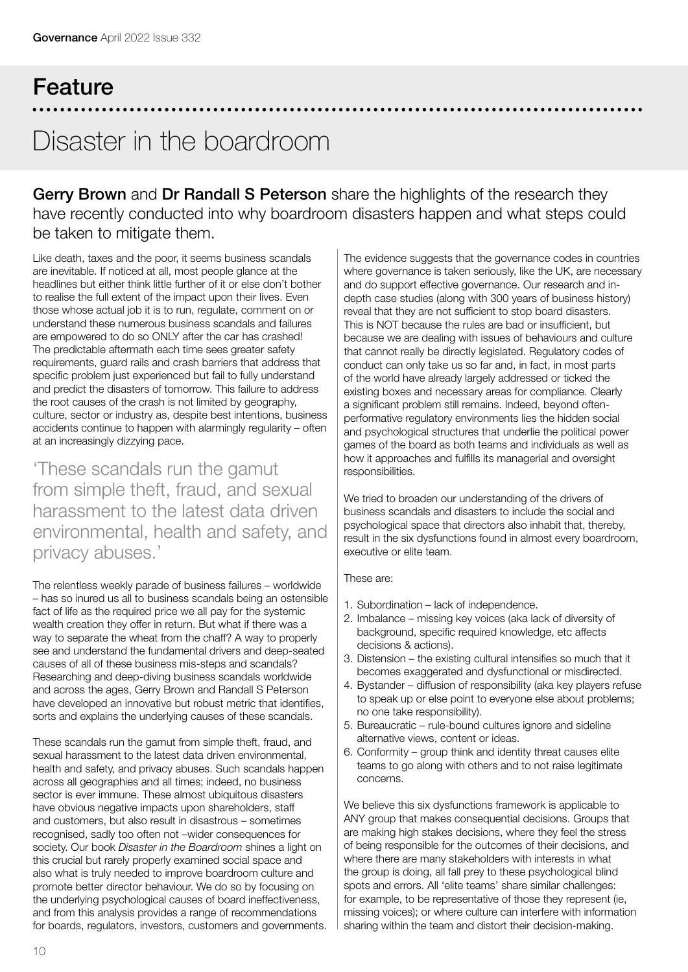# Feature Disaster in the boardroom

Gerry Brown and Dr Randall S Peterson share the highlights of the research they have recently conducted into why boardroom disasters happen and what steps could be taken to mitigate them.

Like death, taxes and the poor, it seems business scandals are inevitable. If noticed at all, most people glance at the headlines but either think little further of it or else don't bother to realise the full extent of the impact upon their lives. Even those whose actual job it is to run, regulate, comment on or understand these numerous business scandals and failures are empowered to do so ONLY after the car has crashed! The predictable aftermath each time sees greater safety requirements, guard rails and crash barriers that address that specific problem just experienced but fail to fully understand and predict the disasters of tomorrow. This failure to address the root causes of the crash is not limited by geography, culture, sector or industry as, despite best intentions, business accidents continue to happen with alarmingly regularity – often at an increasingly dizzying pace.

'These scandals run the gamut from simple theft, fraud, and sexual harassment to the latest data driven environmental, health and safety, and privacy abuses.'

The relentless weekly parade of business failures – worldwide – has so inured us all to business scandals being an ostensible fact of life as the required price we all pay for the systemic wealth creation they offer in return. But what if there was a way to separate the wheat from the chaff? A way to properly see and understand the fundamental drivers and deep-seated causes of all of these business mis-steps and scandals? Researching and deep-diving business scandals worldwide and across the ages, Gerry Brown and Randall S Peterson have developed an innovative but robust metric that identifies, sorts and explains the underlying causes of these scandals.

These scandals run the gamut from simple theft, fraud, and sexual harassment to the latest data driven environmental, health and safety, and privacy abuses. Such scandals happen across all geographies and all times; indeed, no business sector is ever immune. These almost ubiquitous disasters have obvious negative impacts upon shareholders, staff and customers, but also result in disastrous – sometimes recognised, sadly too often not –wider consequences for society. Our book *Disaster in the Boardroom* shines a light on this crucial but rarely properly examined social space and also what is truly needed to improve boardroom culture and promote better director behaviour. We do so by focusing on the underlying psychological causes of board ineffectiveness, and from this analysis provides a range of recommendations for boards, regulators, investors, customers and governments.

The evidence suggests that the governance codes in countries where governance is taken seriously, like the UK, are necessary and do support effective governance. Our research and indepth case studies (along with 300 years of business history) reveal that they are not sufficient to stop board disasters. This is NOT because the rules are bad or insufficient, but because we are dealing with issues of behaviours and culture that cannot really be directly legislated. Regulatory codes of conduct can only take us so far and, in fact, in most parts of the world have already largely addressed or ticked the existing boxes and necessary areas for compliance. Clearly a significant problem still remains. Indeed, beyond oftenperformative regulatory environments lies the hidden social and psychological structures that underlie the political power games of the board as both teams and individuals as well as how it approaches and fulfills its managerial and oversight responsibilities.

We tried to broaden our understanding of the drivers of business scandals and disasters to include the social and psychological space that directors also inhabit that, thereby, result in the six dysfunctions found in almost every boardroom, executive or elite team.

These are:

- 1. Subordination lack of independence.
- 2. Imbalance missing key voices (aka lack of diversity of background, specific required knowledge, etc affects decisions & actions).
- 3. Distension the existing cultural intensifies so much that it becomes exaggerated and dysfunctional or misdirected.
- 4. Bystander diffusion of responsibility (aka key players refuse to speak up or else point to everyone else about problems; no one take responsibility).
- 5. Bureaucratic rule-bound cultures ignore and sideline alternative views, content or ideas.
- 6. Conformity group think and identity threat causes elite teams to go along with others and to not raise legitimate concerns.

We believe this six dysfunctions framework is applicable to ANY group that makes consequential decisions. Groups that are making high stakes decisions, where they feel the stress of being responsible for the outcomes of their decisions, and where there are many stakeholders with interests in what the group is doing, all fall prey to these psychological blind spots and errors. All 'elite teams' share similar challenges: for example, to be representative of those they represent (ie, missing voices); or where culture can interfere with information sharing within the team and distort their decision-making.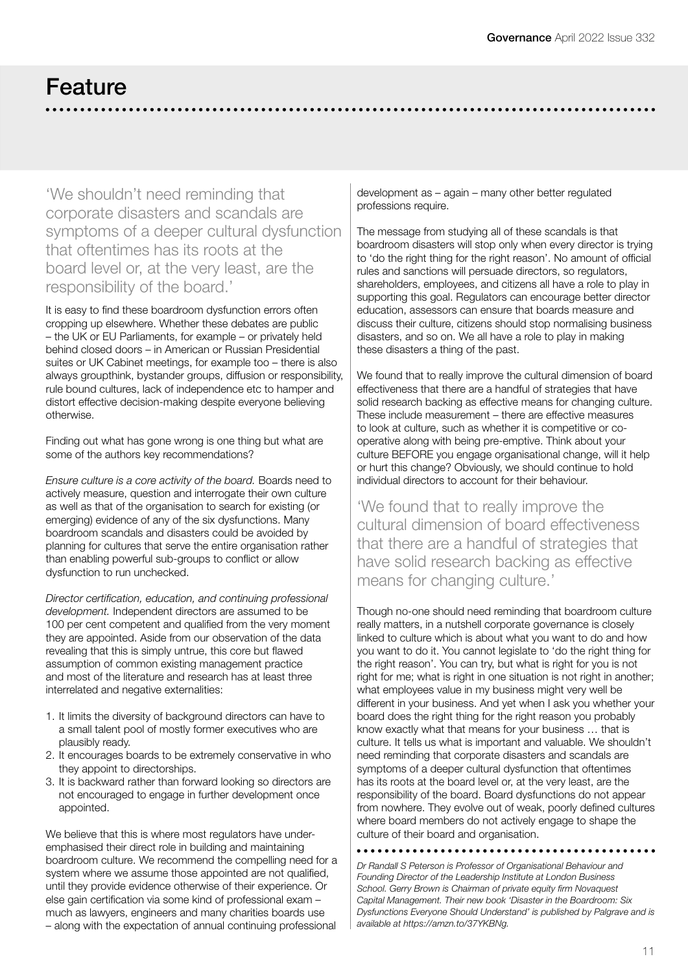### Feature

'We shouldn't need reminding that corporate disasters and scandals are symptoms of a deeper cultural dysfunction that oftentimes has its roots at the board level or, at the very least, are the responsibility of the board.'

It is easy to find these boardroom dysfunction errors often cropping up elsewhere. Whether these debates are public – the UK or EU Parliaments, for example – or privately held behind closed doors – in American or Russian Presidential suites or UK Cabinet meetings, for example too – there is also always groupthink, bystander groups, diffusion or responsibility, rule bound cultures, lack of independence etc to hamper and distort effective decision-making despite everyone believing otherwise.

Finding out what has gone wrong is one thing but what are some of the authors key recommendations?

*Ensure culture is a core activity of the board.* Boards need to actively measure, question and interrogate their own culture as well as that of the organisation to search for existing (or emerging) evidence of any of the six dysfunctions. Many boardroom scandals and disasters could be avoided by planning for cultures that serve the entire organisation rather than enabling powerful sub-groups to conflict or allow dysfunction to run unchecked.

*Director certification, education, and continuing professional development.* Independent directors are assumed to be 100 per cent competent and qualified from the very moment they are appointed. Aside from our observation of the data revealing that this is simply untrue, this core but flawed assumption of common existing management practice and most of the literature and research has at least three interrelated and negative externalities:

- 1. It limits the diversity of background directors can have to a small talent pool of mostly former executives who are plausibly ready.
- 2. It encourages boards to be extremely conservative in who they appoint to directorships.
- 3. It is backward rather than forward looking so directors are not encouraged to engage in further development once appointed.

We believe that this is where most regulators have underemphasised their direct role in building and maintaining boardroom culture. We recommend the compelling need for a system where we assume those appointed are not qualified, until they provide evidence otherwise of their experience. Or else gain certification via some kind of professional exam – much as lawyers, engineers and many charities boards use – along with the expectation of annual continuing professional

development as – again – many other better regulated professions require.

The message from studying all of these scandals is that boardroom disasters will stop only when every director is trying to 'do the right thing for the right reason'. No amount of official rules and sanctions will persuade directors, so regulators, shareholders, employees, and citizens all have a role to play in supporting this goal. Regulators can encourage better director education, assessors can ensure that boards measure and discuss their culture, citizens should stop normalising business disasters, and so on. We all have a role to play in making these disasters a thing of the past.

We found that to really improve the cultural dimension of board effectiveness that there are a handful of strategies that have solid research backing as effective means for changing culture. These include measurement – there are effective measures to look at culture, such as whether it is competitive or cooperative along with being pre-emptive. Think about your culture BEFORE you engage organisational change, will it help or hurt this change? Obviously, we should continue to hold individual directors to account for their behaviour.

'We found that to really improve the cultural dimension of board effectiveness that there are a handful of strategies that have solid research backing as effective means for changing culture.'

Though no-one should need reminding that boardroom culture really matters, in a nutshell corporate governance is closely linked to culture which is about what you want to do and how you want to do it. You cannot legislate to 'do the right thing for the right reason'. You can try, but what is right for you is not right for me; what is right in one situation is not right in another; what employees value in my business might very well be different in your business. And yet when I ask you whether your board does the right thing for the right reason you probably know exactly what that means for your business … that is culture. It tells us what is important and valuable. We shouldn't need reminding that corporate disasters and scandals are symptoms of a deeper cultural dysfunction that oftentimes has its roots at the board level or, at the very least, are the responsibility of the board. Board dysfunctions do not appear from nowhere. They evolve out of weak, poorly defined cultures where board members do not actively engage to shape the culture of their board and organisation.

*Dr Randall S Peterson is Professor of Organisational Behaviour and Founding Director of the Leadership Institute at London Business School. Gerry Brown is Chairman of private equity firm Novaquest Capital Management. Their new book 'Disaster in the Boardroom: Six Dysfunctions Everyone Should Understand' is published by Palgrave and is available at https://amzn.to/37YKBNg.*